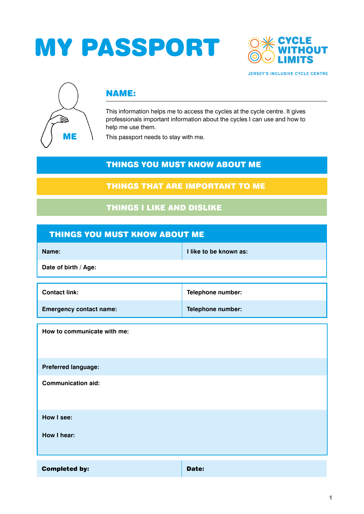# MY PASSPORT





# NAME:

This information helps me to access the cycles at the cycle centre. It gives professionals important information about the cycles I can use and how to help me use them.

This passport needs to stay with me.

## THINGS YOU MUST KNOW ABOUT ME

### THINGS THAT ARE IMPORTANT TO ME

# THINGS I LIKE AND DISLIKE

| THINGS YOU MUST KNOW ABOUT ME  |                        |  |  |
|--------------------------------|------------------------|--|--|
| Name:                          | I like to be known as: |  |  |
| Date of birth / Age:           |                        |  |  |
| <b>Contact link:</b>           | Telephone number:      |  |  |
| <b>Emergency contact name:</b> | Telephone number:      |  |  |
| How to communicate with me:    |                        |  |  |
| Preferred language:            |                        |  |  |
| <b>Communication aid:</b>      |                        |  |  |
| How I see:                     |                        |  |  |
| How I hear:                    |                        |  |  |
| <b>Completed by:</b>           | Date:                  |  |  |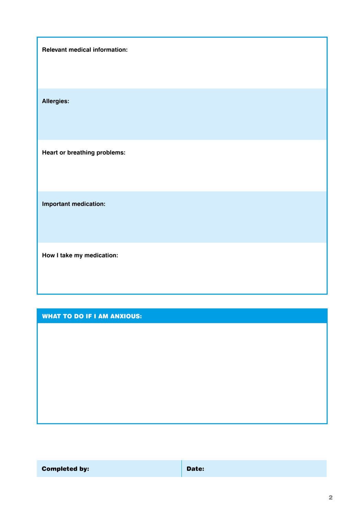**Relevant medical information:**

**Allergies:**

**Heart or breathing problems:**

**Important medication:**

**How I take my medication:**

#### WHAT TO DO IF I AM ANXIOUS:

Completed by: **Date: Date: Date:**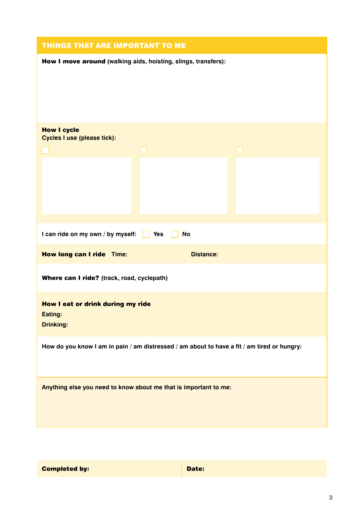| How I move around (walking aids, hoisting, slings, transfers):                              |  |  |  |  |
|---------------------------------------------------------------------------------------------|--|--|--|--|
|                                                                                             |  |  |  |  |
| <b>How I cycle</b><br>Cycles I use (please tick):                                           |  |  |  |  |
| I can ride on my own / by myself:<br>Yes<br>No                                              |  |  |  |  |
| How long can I ride Time:<br><b>Distance:</b><br>Where can I ride? (track, road, cyclepath) |  |  |  |  |
| How I eat or drink during my ride<br>Eating:<br><b>Drinking:</b>                            |  |  |  |  |
| How do you know I am in pain / am distressed / am about to have a fit / am tired or hungry: |  |  |  |  |
| Anything else you need to know about me that is important to me:                            |  |  |  |  |

| <b>Completed by:</b> |  |  |
|----------------------|--|--|
|----------------------|--|--|

Date: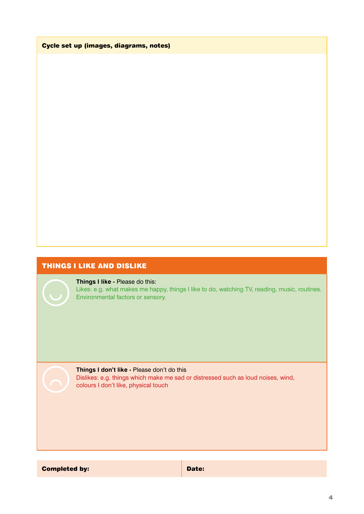Cycle set up (images, diagrams, notes)

#### THINGS I LIKE AND DISLIKE

#### **Things I like -** Please do this:

Likes: e.g. what makes me happy, things I like to do, watching TV, reading, music, routines. Environmental factors or sensory.

#### **Things I don't like -** Please don't do this

Dislikes: e.g. things which make me sad or distressed such as loud noises, wind, colours I don't like, physical touch

Completed by: **Date:** Date: